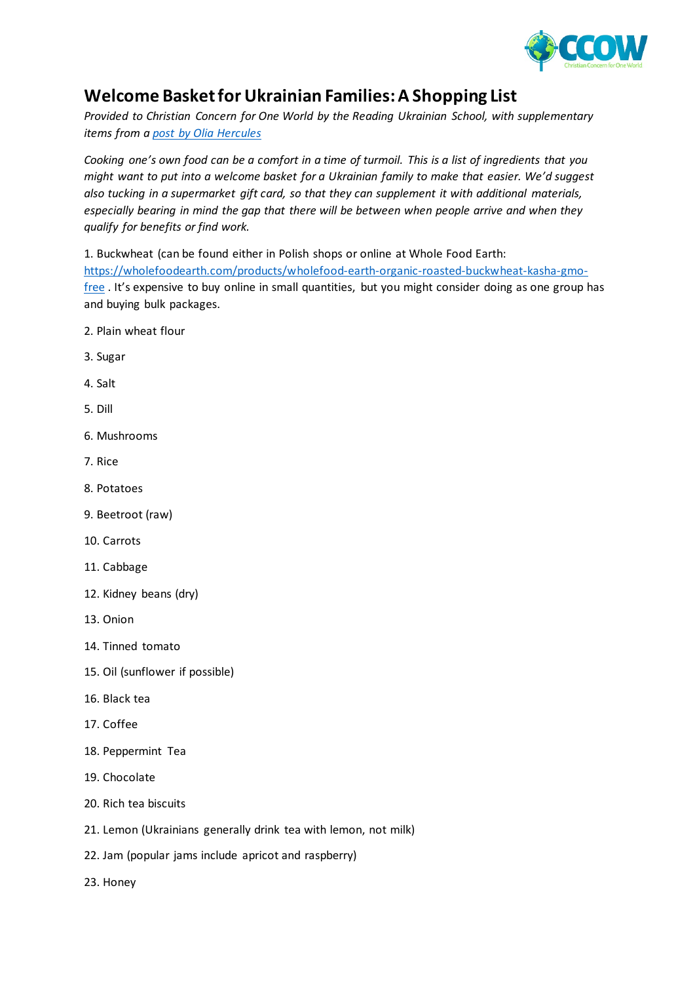

## **Welcome Basket for Ukrainian Families: A Shopping List**

*Provided to Christian Concern for One World by the Reading Ukrainian School, with supplementary items from a [post by Olia Hercules](https://www.facebook.com/61306151/posts/10102650631156324/?app=fbl)*

*Cooking one's own food can be a comfort in a time of turmoil. This is a list of ingredients that you might want to put into a welcome basket for a Ukrainian family to make that easier. We'd suggest also tucking in a supermarket gift card, so that they can supplement it with additional materials, especially bearing in mind the gap that there will be between when people arrive and when they qualify for benefits or find work.*

1. Buckwheat (can be found either in Polish shops or online at Whole Food Earth: [https://wholefoodearth.com/products/wholefood-earth-organic-roasted-buckwheat-kasha-gmo](https://wholefoodearth.com/products/wholefood-earth-organic-roasted-buckwheat-kasha-gmo-free)[free](https://wholefoodearth.com/products/wholefood-earth-organic-roasted-buckwheat-kasha-gmo-free) . It's expensive to buy online in small quantities, but you might consider doing as one group has and buying bulk packages.

- 2. Plain wheat flour
- 3. Sugar
- 4. Salt
- 5. Dill
- 6. Mushrooms
- 7. Rice
- 8. Potatoes
- 9. Beetroot (raw)
- 10. Carrots
- 11. Cabbage
- 12. Kidney beans (dry)
- 13. Onion
- 14. Tinned tomato
- 15. Oil (sunflower if possible)
- 16. Black tea
- 17. Coffee
- 18. Peppermint Tea
- 19. Chocolate
- 20. Rich tea biscuits
- 21. Lemon (Ukrainians generally drink tea with lemon, not milk)
- 22. Jam (popular jams include apricot and raspberry)
- 23. Honey